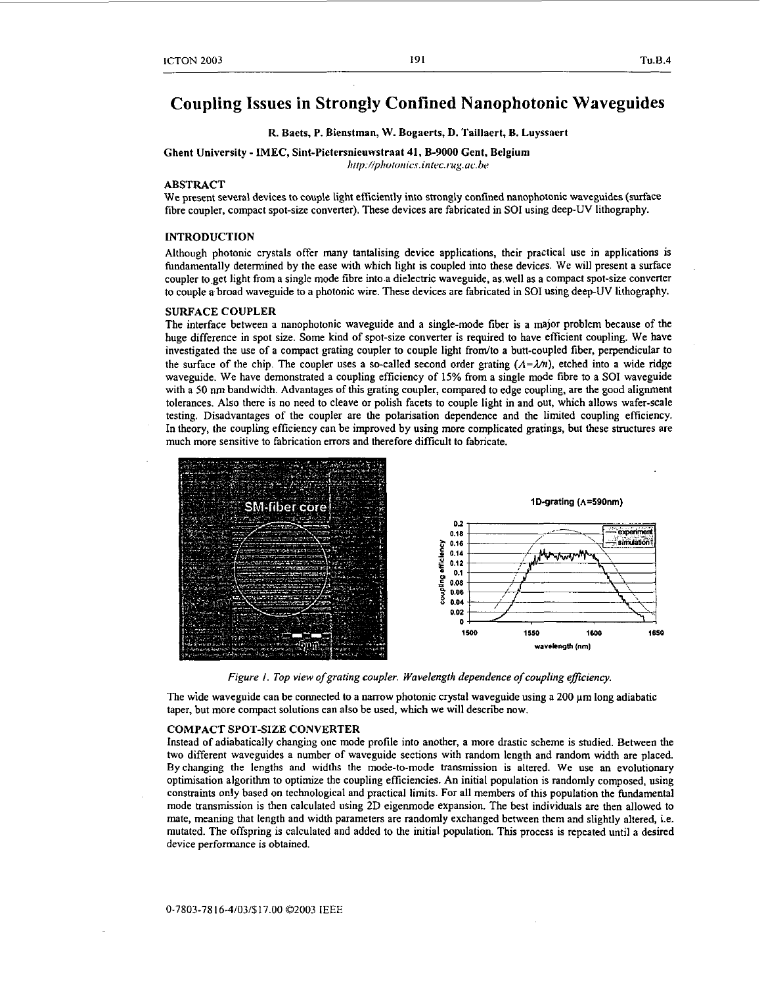# **Coupling Issues in Strongly Confined Nanophotonic Waveguides**

# R. Baets, P. Bienstman, **W.** Bogaerts, D. Taillaert, **B.** Luyssaert

Ghent University - IMEC, Sint-Pietersnieuwstraat **41,** B-9000 Gent, Belgium

 $http://photonics.intec.rug.ac.be$ 

# ABSTRACT

We present several devices to couple light efficiently into strongly confined nanophotonic waveguides (surface fibre coupler, compact spot-size converter). These devices are fabricated in **SO1** using deep-UV lithography.

### INTRODUCTION

Although photonic crystals offer many tantalising device applications, their practical use in applications is fundamentally determined by the ease with which light is coupled into these devices. We will present a surface coupler to.get light from a single mode fibre into a dielectric waveguide, as well **as** a compact spot-size converter to couple **a** broad waveguide to **a** photonic wire. These devices are fabricated in **SO1** using deep-UV lithography.

### SURFACE COUPLER

The interface between **a** nanophotonic waveguide and a single-mode fiber is a major problem because of the huge difference in spot *sue.* Some kind of spot-size converter is required to have efficient coupling. We have investigated the use of a compact grating coupler to couple light from/to a butt-coupled fiber, perpendicular to the surface of the chip. The coupler uses a so-called second order grating  $(A=\lambda/n)$ , etched into a wide ridge waveguide. We have demonstrated a coupling efficiency of 15% from a single mode fibre to a **SO1** waveguide with a 50 nm bandwidth. Advantages of this grating coupler, compared to edge coupling, are the good alignment tolerances. **Also** there is no need to cleave or polish facets to couple light in and out, which allows wafer-scale testing. Disadvantages of the coupler are the polarisation dependence and the limited coupling efficiency. In theory, the coupling efficiency can be improved by using more complicated gratings, but these structures are much more sensitive to fabrication errors and therefore difficult to fabricate.



*Figure 1. Top view o/graring coupler. Wavelength dependence o/coupling eficiency.* 

The wide waveguide can be connected to a narrow photonic crystal waveguide using a 200 **pm** long adiabatic taper, but more compact solutions can also be used, which we will describe now.

#### COMPACT SPOT-SIZE CONVERTER

Instead of adiabatically changing one mode profile into another, a more drastic scheme is studied. Between the two different waveguides a number of waveguide sections with random length and random width are placed. By changing the lengths and widths the mode-to-mode transmission is altered. We use an evolutionary optimisation algorithm to optimize the coupling efficiencies. An initial population is randomly composed, using constraints only based on technological and practical limits. For all members of this population the fundamental mode transmission is then calculated using 2D eigenmode expansion. The best individuals are then allowed to mate, meaning that length and width parameters are randomly exchanged between them and slightly altered, i.e. mutated. The offspring is calculated and added to the initial population. **This** process is repeated until **a** desired device performance is obtained.